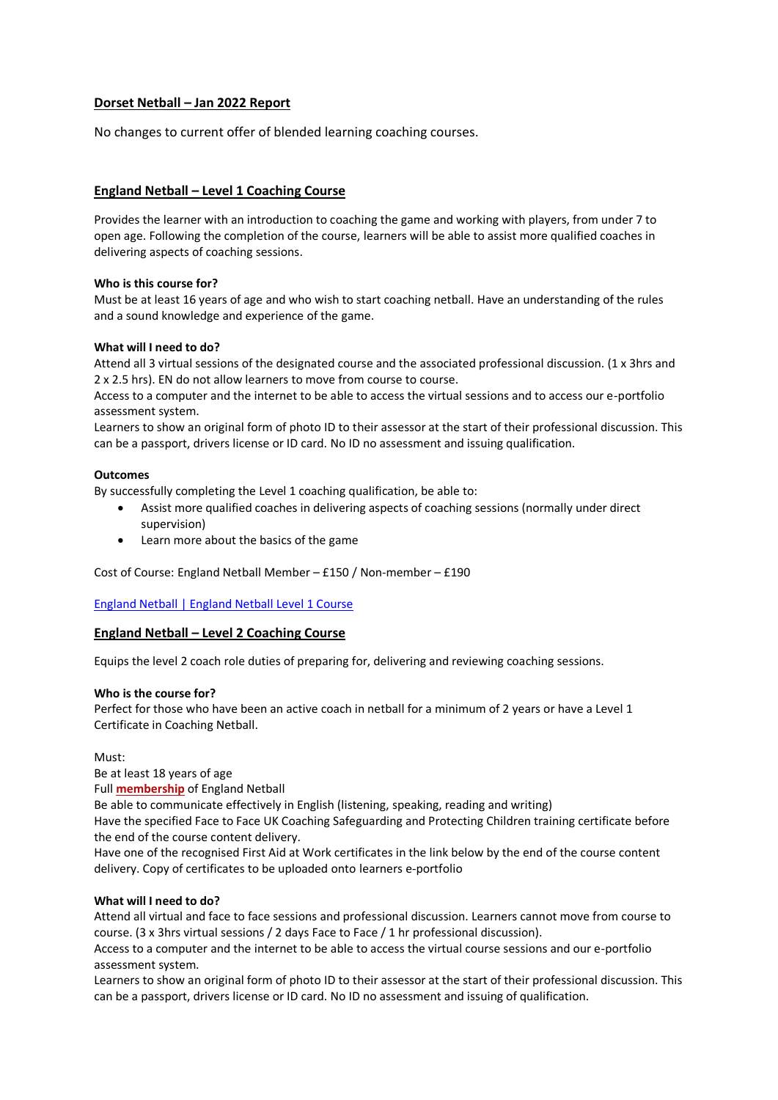# **Dorset Netball – Jan 2022 Report**

No changes to current offer of blended learning coaching courses.

# **England Netball – Level 1 Coaching Course**

Provides the learner with an introduction to coaching the game and working with players, from under 7 to open age. Following the completion of the course, learners will be able to assist more qualified coaches in delivering aspects of coaching sessions.

#### **Who is this course for?**

Must be at least 16 years of age and who wish to start coaching netball. Have an understanding of the rules and a sound knowledge and experience of the game.

#### **What will I need to do?**

Attend all 3 virtual sessions of the designated course and the associated professional discussion. (1 x 3hrs and 2 x 2.5 hrs). EN do not allow learners to move from course to course.

Access to a computer and the internet to be able to access the virtual sessions and to access our e-portfolio assessment system.

Learners to show an original form of photo ID to their assessor at the start of their professional discussion. This can be a passport, drivers license or ID card. No ID no assessment and issuing qualification.

#### **Outcomes**

By successfully completing the Level 1 coaching qualification, be able to:

- Assist more qualified coaches in delivering aspects of coaching sessions (normally under direct supervision)
- Learn more about the basics of the game

Cost of Course: England Netball Member – £150 / Non-member – £190

[England Netball | England Netball Level 1 Course](https://www.englandnetball.co.uk/course/ukcc-level-1-course/)

# **England Netball – Level 2 Coaching Course**

Equips the level 2 coach role duties of preparing for, delivering and reviewing coaching sessions.

# **Who is the course for?**

Perfect for those who have been an active coach in netball for a minimum of 2 years or have a Level 1 Certificate in Coaching Netball.

Must:

Be at least 18 years of age

Full **[membership](https://www.englandnetball.co.uk/membership/become-a-member/)** of England Netball

Be able to communicate effectively in English (listening, speaking, reading and writing)

Have the specified Face to Face UK Coaching Safeguarding and Protecting Children training certificate before the end of the course content delivery.

Have one of the recognised First Aid at Work certificates in the link below by the end of the course content delivery. Copy of certificates to be uploaded onto learners e-portfolio

# **What will I need to do?**

Attend all virtual and face to face sessions and professional discussion. Learners cannot move from course to course. (3 x 3hrs virtual sessions / 2 days Face to Face / 1 hr professional discussion).

Access to a computer and the internet to be able to access the virtual course sessions and our e-portfolio assessment system.

Learners to show an original form of photo ID to their assessor at the start of their professional discussion. This can be a passport, drivers license or ID card. No ID no assessment and issuing of qualification.